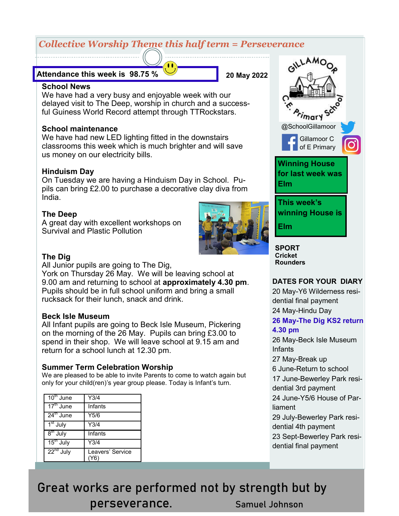# *Collective Worship Theme this half term = Perseverance*

#### **Attendance this week is 98.75 %**

**20 May 2022**

#### **School News**

We have had a very busy and enjoyable week with our delayed visit to The Deep, worship in church and a successful Guiness World Record attempt through TTRockstars.

#### **School maintenance**

We have had new LED lighting fitted in the downstairs classrooms this week which is much brighter and will save us money on our electricity bills.

#### **Hinduism Day**

On Tuesday we are having a Hinduism Day in School. Pupils can bring £2.00 to purchase a decorative clay diva from India.

#### **The Deep**

A great day with excellent workshops on Survival and Plastic Pollution



#### **The Dig**

All Junior pupils are going to The Dig,

York on Thursday 26 May. We will be leaving school at 9.00 am and returning to school at **approximately 4.30 pm**. Pupils should be in full school uniform and bring a small rucksack for their lunch, snack and drink.

#### **Beck Isle Museum**

All Infant pupils are going to Beck Isle Museum, Pickering on the morning of the 26 May. Pupils can bring £3.00 to spend in their shop. We will leave school at 9.15 am and return for a school lunch at 12.30 pm.

#### **Summer Term Celebration Worship**

We are pleased to be able to invite Parents to come to watch again but only for your child(ren)'s year group please. Today is Infant's turn.

| $10th$ June                      | Y3/4             |
|----------------------------------|------------------|
| $\overline{17}^{\text{th}}$ June | Infants          |
| $24^{\text{th}}$ June            | Y5/6             |
| 1 <sup>st</sup> July             | Y3/4             |
| $8th$ July                       | Infants          |
| $15th$ July                      | Y3/4             |
| $22nd$ July                      | Leavers' Service |



**Cricket Rounders**

#### **DATES FOR YOUR DIARY**

20 May-Y6 Wilderness residential final payment 24 May-Hindu Day

#### **26 May-The Dig KS2 return 4.30 pm**

26 May-Beck Isle Museum Infants

27 May-Break up

6 June-Return to school

17 June-Bewerley Park residential 3rd payment

24 June-Y5/6 House of Parliament

29 July-Bewerley Park residential 4th payment

23 Sept-Bewerley Park residential final payment

# Great works are performed not by strength but by perseverance. Samuel Johnson